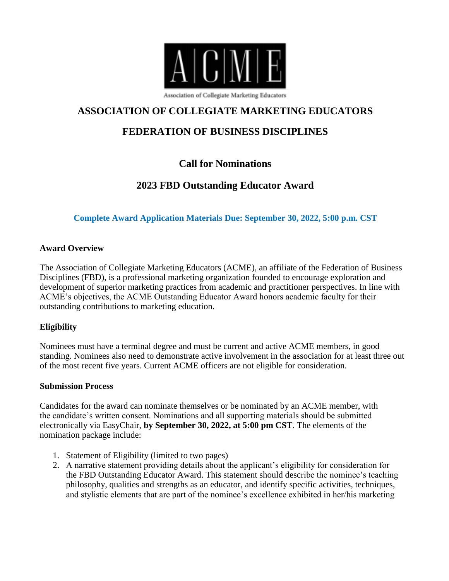

## **ASSOCIATION OF COLLEGIATE MARKETING EDUCATORS**

# **FEDERATION OF BUSINESS DISCIPLINES**

# **Call for Nominations**

# **2023 FBD Outstanding Educator Award**

### **Complete Award Application Materials Due: September 30, 2022, 5:00 p.m. CST**

#### **Award Overview**

The Association of Collegiate Marketing Educators (ACME), an affiliate of the Federation of Business Disciplines (FBD), is a professional marketing organization founded to encourage exploration and development of superior marketing practices from academic and practitioner perspectives. In line with ACME's objectives, the ACME Outstanding Educator Award honors academic faculty for their outstanding contributions to marketing education.

#### **Eligibility**

Nominees must have a terminal degree and must be current and active ACME members, in good standing. Nominees also need to demonstrate active involvement in the association for at least three out of the most recent five years. Current ACME officers are not eligible for consideration.

#### **Submission Process**

Candidates for the award can nominate themselves or be nominated by an ACME member, with the candidate's written consent. Nominations and all supporting materials should be submitted electronically via EasyChair, **by September 30, 2022, at 5:00 pm CST**. The elements of the nomination package include:

- 1. Statement of Eligibility (limited to two pages)
- 2. A narrative statement providing details about the applicant's eligibility for consideration for the FBD Outstanding Educator Award. This statement should describe the nominee's teaching philosophy, qualities and strengths as an educator, and identify specific activities, techniques, and stylistic elements that are part of the nominee's excellence exhibited in her/his marketing